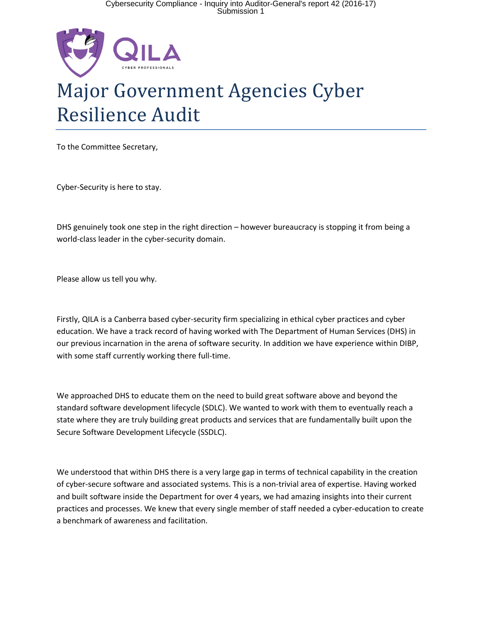

## Major Government Agencies Cyber Resilience Audit

To the Committee Secretary,

Cyber-Security is here to stay.

DHS genuinely took one step in the right direction – however bureaucracy is stopping it from being a world-class leader in the cyber-security domain.

Please allow us tell you why.

Firstly, QILA is a Canberra based cyber-security firm specializing in ethical cyber practices and cyber education. We have a track record of having worked with The Department of Human Services (DHS) in our previous incarnation in the arena of software security. In addition we have experience within DIBP, with some staff currently working there full-time.

We approached DHS to educate them on the need to build great software above and beyond the standard software development lifecycle (SDLC). We wanted to work with them to eventually reach a state where they are truly building great products and services that are fundamentally built upon the Secure Software Development Lifecycle (SSDLC).

We understood that within DHS there is a very large gap in terms of technical capability in the creation of cyber-secure software and associated systems. This is a non-trivial area of expertise. Having worked and built software inside the Department for over 4 years, we had amazing insights into their current practices and processes. We knew that every single member of staff needed a cyber-education to create a benchmark of awareness and facilitation.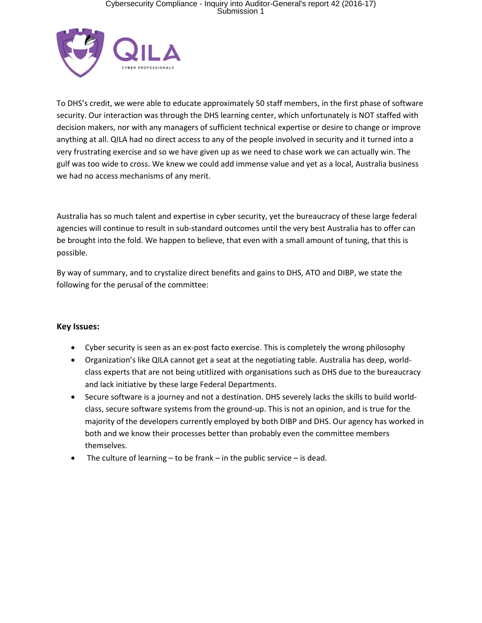## Cybersecurity Compliance - Inquiry into Auditor-General's report 42 (2016-17) Submission 1



To DHS's credit, we were able to educate approximately 50 staff members, in the first phase of software security. Our interaction was through the DHS learning center, which unfortunately is NOT staffed with decision makers, nor with any managers of sufficient technical expertise or desire to change or improve anything at all. QILA had no direct access to any of the people involved in security and it turned into a very frustrating exercise and so we have given up as we need to chase work we can actually win. The gulf was too wide to cross. We knew we could add immense value and yet as a local, Australia business we had no access mechanisms of any merit.

Australia has so much talent and expertise in cyber security, yet the bureaucracy of these large federal agencies will continue to result in sub-standard outcomes until the very best Australia has to offer can be brought into the fold. We happen to believe, that even with a small amount of tuning, that this is possible.

By way of summary, and to crystalize direct benefits and gains to DHS, ATO and DIBP, we state the following for the perusal of the committee:

## **Key Issues:**

- Cyber security is seen as an ex-post facto exercise. This is completely the wrong philosophy
- Organization's like QILA cannot get a seat at the negotiating table. Australia has deep, worldclass experts that are not being utitlized with organisations such as DHS due to the bureaucracy and lack initiative by these large Federal Departments.
- Secure software is a journey and not a destination. DHS severely lacks the skills to build worldclass, secure software systems from the ground-up. This is not an opinion, and is true for the majority of the developers currently employed by both DIBP and DHS. Our agency has worked in both and we know their processes better than probably even the committee members themselves.
- The culture of learning to be frank in the public service is dead.